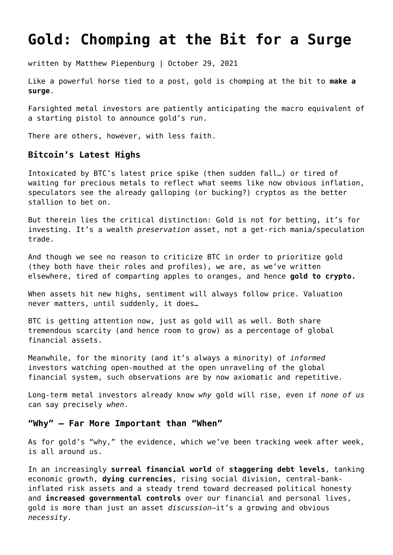# **[Gold: Chomping at the Bit for a Surge](https://goldswitzerland.com/gold-chomping-at-the-bit-for-a-surge/)**

written by Matthew Piepenburg | October 29, 2021

Like a powerful horse tied to a post, gold is chomping at the bit to **[make a](https://goldswitzerland.com/will-gold-reach-unthinkable-heights/) [surge](https://goldswitzerland.com/will-gold-reach-unthinkable-heights/)**.

Farsighted metal investors are patiently anticipating the macro equivalent of a starting pistol to announce gold's run.

There are others, however, with less faith.

#### **Bitcoin's Latest Highs**

Intoxicated by BTC's latest price spike (then sudden fall…) or tired of waiting for precious metals to reflect what seems like now obvious inflation, speculators see the already galloping (or bucking?) cryptos as the better stallion to bet on.

But therein lies the critical distinction: Gold is not for betting, it's for investing. It's a wealth *preservation* asset, not a get-rich mania/speculation trade.

And though we see no reason to criticize BTC in order to prioritize gold (they both have their roles and profiles), we are, as we've written elsewhere, tired of comparting apples to oranges, and hence **[gold to crypto.](https://goldswitzerland.com/bitcoin-vs-gold-a-tired-debate/)**

When assets hit new highs, sentiment will always follow price. Valuation never matters, until suddenly, it does…

BTC is getting attention now, just as gold will as well. Both share tremendous scarcity (and hence room to grow) as a percentage of global financial assets.

Meanwhile, for the minority (and it's always a minority) of *informed* investors watching open-mouthed at the open unraveling of the global financial system, such observations are by now axiomatic and repetitive.

Long-term metal investors already know *why* gold will rise, even if *none of us* can say precisely *when*.

#### **"Why" — Far More Important than "When"**

As for gold's "why," the evidence, which we've been tracking week after week, is all around us.

In an increasingly **[surreal financial world](https://goldswitzerland.com/nothing-is-real-a-visual-journey-through-market-absurdity/)** of **[staggering debt levels](https://goldswitzerland.com/the-2-3-quadrillion-global-debt-timebomb/)**, tanking economic growth, **[dying currencies](https://goldswitzerland.com/four-unreported-signs-paper-money-is-dying/)**, rising social division, central-bankinflated risk assets and a steady trend toward decreased political honesty and **[increased governmental controls](https://goldswitzerland.com/the-death-of-truth-the-rise-of-centralized-government-control/)** over our financial and personal lives, gold is more than just an asset *discussion*—it's a growing and obvious *necessity*.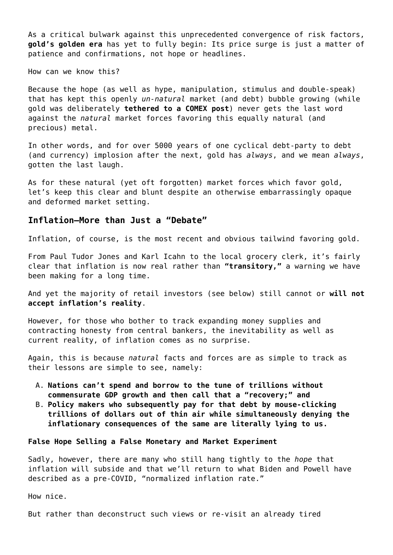As a critical bulwark against this unprecedented convergence of risk factors, **[gold's golden era](https://goldswitzerland.com/getting-ready-for-golds-golden-era/)** has yet to fully begin: Its price surge is just a matter of patience and confirmations, not hope or headlines.

How can we know this?

Because the hope (as well as hype, manipulation, stimulus and double-speak) that has kept this openly *un-natural* market (and debt) bubble growing (while gold was deliberately **[tethered to a COMEX post](https://goldswitzerland.com/making-sense-of-comex-insanity/)**) never gets the last word against the *natural* market forces favoring this equally natural (and precious) metal.

In other words, and for over 5000 years of one cyclical debt-party to debt (and currency) implosion after the next, gold has *always*, and we mean *always*, gotten the last laugh.

As for these natural (yet oft forgotten) market forces which favor gold, let's keep this clear and blunt despite an otherwise embarrassingly opaque and deformed market setting.

#### **Inflation—More than Just a "Debate"**

Inflation, of course, is the most recent and obvious tailwind favoring gold.

From Paul Tudor Jones and Karl Icahn to the local grocery clerk, it's fairly clear that inflation is now real rather than **["transitory,"](https://goldswitzerland.com/transitory-inflation-sublime-yet-ridiculous/)** a warning we have been making for a long time.

And yet the majority of retail investors (see below) still cannot or **[will not](https://goldswitzerland.com/matthew-piepenburg-a-new-currency-system-is-emerging/) [accept inflation's reality](https://goldswitzerland.com/matthew-piepenburg-a-new-currency-system-is-emerging/)**.

However, for those who bother to track expanding money supplies and contracting honesty from central bankers, the inevitability as well as current reality, of inflation comes as no surprise.

Again, this is because *natural* facts and forces are as simple to track as their lessons are simple to see, namely:

- A. **Nations can't spend and borrow to the tune of trillions without commensurate GDP growth and then call that a "recovery;" and**
- B. **Policy makers who subsequently pay for that debt by mouse-clicking trillions of dollars out of thin air while simultaneously denying the inflationary consequences of the same are literally lying to us.**

#### **False Hope Selling a False Monetary and Market Experiment**

Sadly, however, there are many who still hang tightly to the *hope* that inflation will subside and that we'll return to what Biden and Powell have described as a pre-COVID, "normalized inflation rate."

How nice.

But rather than deconstruct such views or re-visit an already tired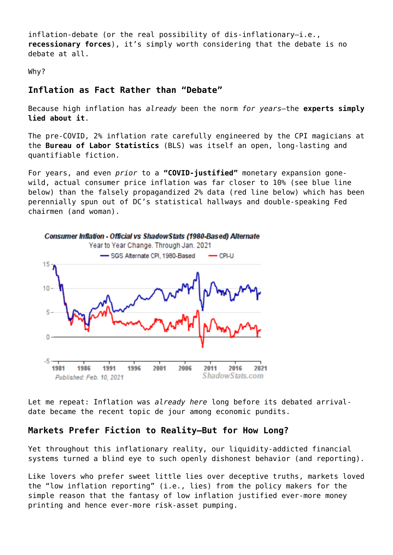inflation-debate (or the real possibility of dis-inflationary—i.e., **[recessionary forces](https://goldswitzerland.com/are-we-headed-for-recession-signposts-and-realism/)**), it's simply worth considering that the debate is no debate at all.

Why?

# **Inflation as Fact Rather than "Debate"**

Because high inflation has *already* been the norm *for years*—the **[experts simply](https://goldswitzerland.com/the-feds-most-convenient-lie-a-cpi-charade/) [lied about it](https://goldswitzerland.com/the-feds-most-convenient-lie-a-cpi-charade/)**.

The pre-COVID, 2% inflation rate carefully engineered by the CPI magicians at the **[Bureau of Labor Statistics](https://www.bls.gov/cpi/)** (BLS) was itself an open, long-lasting and quantifiable fiction.

For years, and even *prior* to a **["COVID-justified"](https://goldswitzerland.com/covid-bailouts-have-nothing-to-do-with-covid/)** monetary expansion gonewild, actual consumer price inflation was far closer to 10% (see blue line below) than the falsely propagandized 2% data (red line below) which has been perennially spun out of DC's statistical hallways and double-speaking Fed chairmen (and woman).



Let me repeat: Inflation was *already here* long before its debated arrivaldate became the recent topic de jour among economic pundits.

# **Markets Prefer Fiction to Reality—But for How Long?**

Yet throughout this inflationary reality, our liquidity-addicted financial systems turned a blind eye to such openly dishonest behavior (and reporting).

Like lovers who prefer sweet little lies over deceptive truths, markets loved the "low inflation reporting" (i.e., lies) from the policy makers for the simple reason that the fantasy of low inflation justified ever-more money printing and hence ever-more risk-asset pumping.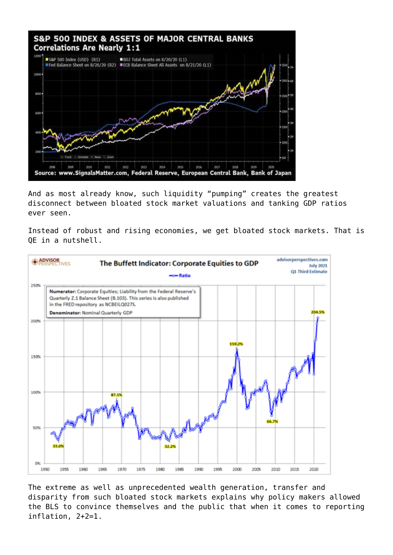

And as most already know, such liquidity "pumping" creates the greatest disconnect between bloated stock market valuations and tanking GDP ratios ever seen.

Instead of robust and rising economies, we get bloated stock markets. That is QE in a nutshell.



The extreme as well as unprecedented wealth generation, transfer and disparity from such bloated stock markets explains why policy makers allowed the BLS to convince themselves and the public that when it comes to reporting inflation, 2+2=1.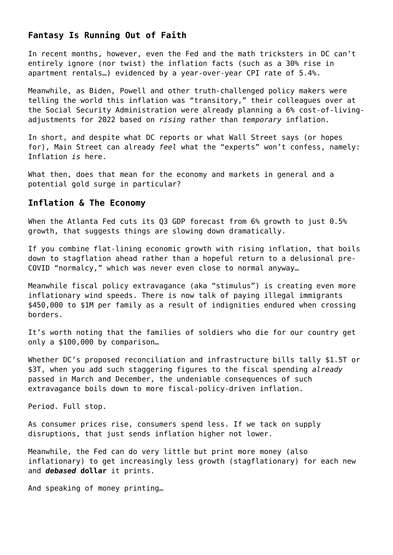## **Fantasy Is Running Out of Faith**

In recent months, however, even the Fed and the math tricksters in DC can't entirely ignore (nor twist) the inflation facts (such as a 30% rise in apartment rentals…) evidenced by a year-over-year CPI rate of 5.4%.

Meanwhile, as Biden, Powell and other truth-challenged policy makers were telling the world this inflation was "transitory," their colleagues over at the Social Security Administration were already planning a 6% cost-of-livingadjustments for 2022 based on *rising* rather than *temporary* inflation.

In short, and despite what DC reports or what Wall Street says (or hopes for), Main Street can already *feel* what the "experts" won't confess, namely: Inflation *is* here.

What then, does that mean for the economy and markets in general and a potential gold surge in particular?

#### **Inflation & The Economy**

When the Atlanta Fed cuts its Q3 GDP forecast from 6% growth to just 0.5% growth, that suggests things are slowing down dramatically.

If you combine flat-lining economic growth with rising inflation, that boils down to stagflation ahead rather than a hopeful return to a delusional pre-COVID "normalcy," which was never even close to normal anyway…

Meanwhile fiscal policy extravagance (aka "stimulus") is creating even more inflationary wind speeds. There is now talk of paying illegal immigrants \$450,000 to \$1M per family as a result of indignities endured when crossing borders.

It's worth noting that the families of soldiers who die for our country get only a \$100,000 by comparison…

Whether DC's proposed reconciliation and infrastructure bills tally \$1.5T or \$3T, when you add such staggering figures to the fiscal spending *already* passed in March and December, the undeniable consequences of such extravagance boils down to more fiscal-policy-driven inflation.

Period. Full stop.

As consumer prices rise, consumers spend less. If we tack on supply disruptions, that just sends inflation higher not lower.

Meanwhile, the Fed can do very little but print more money (also inflationary) to get increasingly less growth (stagflationary) for each new and *[debased](https://goldswitzerland.com/us-money-supply-more-lies-from-on-high/)* **[dollar](https://goldswitzerland.com/us-money-supply-more-lies-from-on-high/)** it prints.

And speaking of money printing…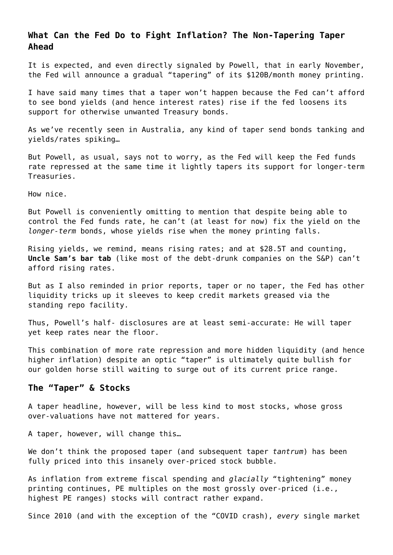# **What Can the Fed Do to Fight Inflation? The Non-Tapering Taper Ahead**

It is expected, and even directly signaled by Powell, that in early November, the Fed will announce a gradual "tapering" of its \$120B/month money printing.

I have said many times that a taper won't happen because the Fed can't afford to see bond yields (and hence interest rates) rise if the fed loosens its support for otherwise unwanted Treasury bonds.

As we've recently seen in Australia, any kind of taper send bonds tanking and yields/rates spiking…

But Powell, as usual, says not to worry, as the Fed will keep the Fed funds rate repressed at the same time it lightly tapers its support for longer-term Treasuries.

How nice.

But Powell is conveniently omitting to mention that despite being able to control the Fed funds rate, he can't (at least for now) fix the yield on the *longer-term* bonds, whose yields rise when the money printing falls.

Rising yields, we remind, means rising rates; and at \$28.5T and counting, **[Uncle Sam's bar tab](https://goldswitzerland.com/hidden-bankruptcy-the-reality-behind-uncle-sams-inflated-bar-tab/)** (like most of the debt-drunk companies on the S&P) can't afford rising rates.

But as I also reminded in prior reports, taper or no taper, the Fed has other liquidity tricks up it sleeves to keep credit markets greased via the standing repo facility.

Thus, Powell's half- disclosures are at least semi-accurate: He will taper yet keep rates near the floor.

This combination of more rate repression and more hidden liquidity (and hence higher inflation) despite an optic "taper" is ultimately quite bullish for our golden horse still waiting to surge out of its current price range.

#### **The "Taper" & Stocks**

A taper headline, however, will be less kind to most stocks, whose gross over-valuations have not mattered for years.

A taper, however, will change this…

We don't think the proposed taper (and subsequent taper *tantrum*) has been fully priced into this insanely over-priced stock bubble.

As inflation from extreme fiscal spending and *glacially* "tightening" money printing continues, PE multiples on the most grossly over-priced (i.e., highest PE ranges) stocks will contract rather expand.

Since 2010 (and with the exception of the "COVID crash), *every* single market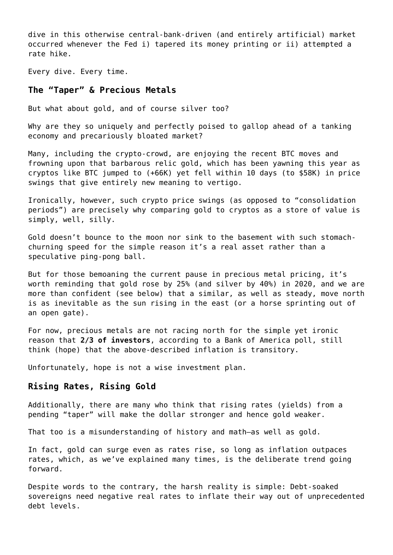dive in this otherwise central-bank-driven (and entirely artificial) market occurred whenever the Fed i) tapered its money printing or ii) attempted a rate hike.

Every dive. Every time.

#### **The "Taper" & Precious Metals**

But what about gold, and of course silver too?

Why are they so uniquely and perfectly poised to gallop ahead of a tanking economy and precariously bloated market?

Many, including the crypto-crowd, are enjoying the recent BTC moves and frowning upon that barbarous relic gold, which has been yawning this year as cryptos like BTC jumped to (+66K) yet fell within 10 days (to \$58K) in price swings that give entirely new meaning to vertigo.

Ironically, however, such crypto price swings (as opposed to "consolidation periods") are precisely why comparing gold to cryptos as a store of value is simply, well, silly.

Gold doesn't bounce to the moon nor sink to the basement with such stomachchurning speed for the simple reason it's a real asset rather than a speculative ping-pong ball.

But for those bemoaning the current pause in precious metal pricing, it's worth reminding that gold rose by 25% (and silver by 40%) in 2020, and we are more than confident (see below) that a similar, as well as steady, move north is as inevitable as the sun rising in the east (or a horse sprinting out of an open gate).

For now, precious metals are not racing north for the simple yet ironic reason that **[2/3 of investors](https://goldswitzerland.com/why-is-gold-not-rising/)**, according to a Bank of America poll, still think (hope) that the above-described inflation is transitory.

Unfortunately, hope is not a wise investment plan.

## **Rising Rates, Rising Gold**

Additionally, there are many who think that rising rates (yields) from a pending "taper" will make the dollar stronger and hence gold weaker.

That too is a misunderstanding of history and math—as well as gold.

In fact, gold can surge even as rates rise, so long as inflation outpaces rates, which, as we've explained many times, is the deliberate trend going forward.

Despite words to the contrary, the harsh reality is simple: Debt-soaked sovereigns need negative real rates to inflate their way out of unprecedented debt levels.